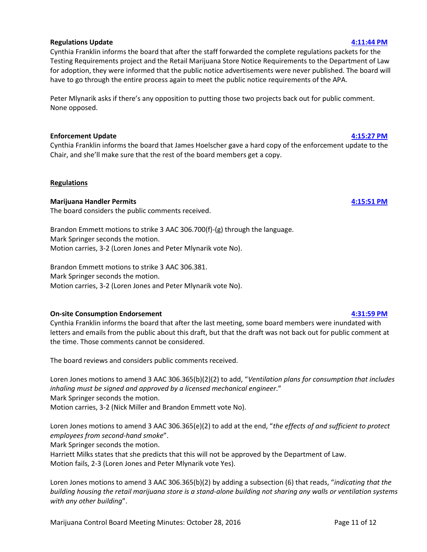



ALCOHOL & MARIJUANA CONTROL OFF 550 West 7<sup>th</sup> Avenue, Suite 1 Anchorage, AK 99 Main: 907.269.0

# **Marijuana Control Board Meeting Minutes October 28, 2016 Third Judicial District University of Alaska Anchorage Gorsuch Commons 3700 Sharon Gagnon Lane Anchorage, Alaska**

# \*Meeting minutes are 43 minutes fast (actual start time is 9:15am)

#### **Board Members Present:**

Peter Mlynarik, Public Safety Member Mark Springer, Rural Member Brandon Emmett, Industry Member Loren Jones, Public Health Member Nick Miller, Industry Member

# **Staff Members Present:**

Cynthia Franklin, Director Sarah Oates, Program Coordinator

### **Legal Counsel Present:**

Harriet Milks, Assistant Attorney General

# **Call to Order [9:58:01 AM](ftr://?location="ABC Board"?date="28-Oct-2016"?position="09:58:01"?Data="86b3073f")**

### **Approval of Agenda [9:58:58 AM](ftr://?location="ABC Board"?date="28-Oct-2016"?position="09:58:58"?Data="ab76d906")**

Peter Mlynarik says that he wants to move all items on the agenda, other than the licensing update and public testimony, to the end of the day if there's still time after review of all license applications.

None opposed to amendment of the agenda. None opposed to approval of the agenda as amended.

### **Licensing Update [10:00:03 AM](ftr://?location="ABC Board"?date="28-Oct-2016"?position="10:00:03"?Data="95e7406f")**

Sarah Oates provides an update on license application numbers,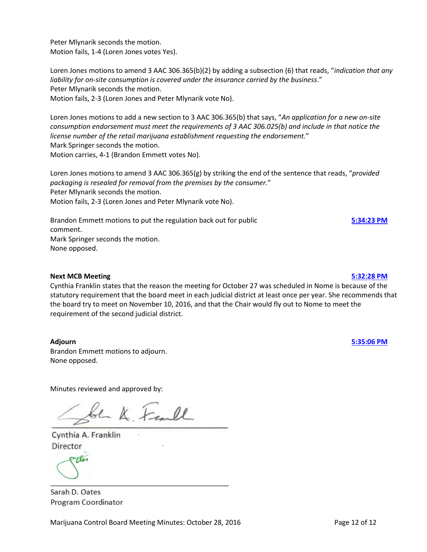### **Public Testimony [10:04:56 AM](ftr://?location="ABC Board"?date="28-Oct-2016"?position="10:04:56"?Data="fb1f8194")**

# Jana Weltzin provides testimony regarding retail marijuana stores transporting marijuana and red-striped IDs.

Rick Euscher asks a question about clones and a cultivation facility.

Kerby Coman, Green Degree, requests that the board add to the agenda a discussion about using an incinerator as a means of waste disposal.

Jeremiah Emmerson provides testimony regarding MCB finances and revenue and makes an argument for more staff for the board.

### **Tabled Applications**

#### **10004 Talkeetna Herb Company [10:09:56 AM](ftr://?location="ABC Board"?date="28-Oct-2016"?position="10:09:56"?Data="0ee10a24")**

Mark Springer motions to approve license 10004 with delegation. Brandon Emmett seconds the motion.

Krystal Dietrich identifies herself for the record and answers board questions.

Loren Jones comments that Ms. Dietrich will have to use the horse manure as her means of waste disposal, as the board has not approved of incineration.

Motion to approve with delegation carries unanimously.

### **10014 The Naked Herbalist [10:16:28 AM](ftr://?location="ABC Board"?date="28-Oct-2016"?position="10:16:28"?Data="99955a4d")**

Miles France identifies himself for the record and answers board questions.

Mark Springer motions to approve license 10014 with delegation. Brandon Emmett seconds the motion.

Loren Jones comments that Mr. French will have to use the grinding method as his means of waste disposal, as the board has not approved of incineration.

Motion to approve with delegation carries unanimously.

#### **10170 Green Degree [10:33:16 AM](ftr://?location="ABC Board"?date="28-Oct-2016"?position="10:33:16"?Data="f5cc0a0b")**

Mark Springer motions to approve license 10170 with delegation. Brandon Emmett seconds the motion.

Kerby Coman identifies himself for the record and answer board questions.

Nick Miller comments that Mr. Coman will need to use the approved method of waste disposal and not incineration.

Motion to approve with delegation carries unanimously.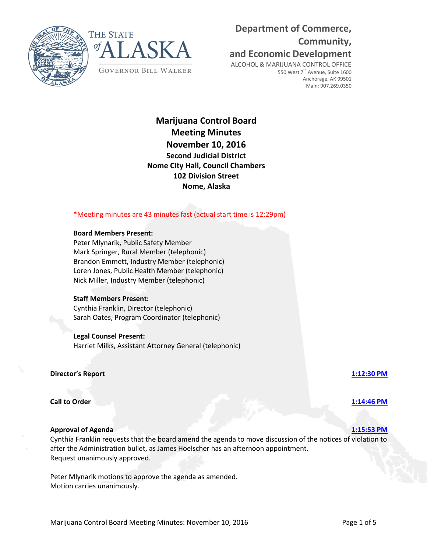# **Tabled Proposed Products**

### **10012 Frozen Budz [10:36:43 AM](ftr://?location="ABC Board"?date="28-Oct-2016"?position="10:36:43"?Data="74f6a0ce")**

Destiny Neade identifies herself for the record.

Brandon Emmett motions to approve Product 27 Canna-Crinkle Cookies. Mark Springer seconds the motion.

Cynthia Franklin suggests that the board make a motion to approve all products and pull out any specific ones that they have questions about in order to expedite the process.

Brandon Emmett withdraws his motion.

Peter Mlynarik requests a motion to approve all products. Brandon Emmett motions to approve Products 27, 28, 32-35, 37-39, and 41-47. Mark Springer seconds the motion.

Destiny Neade answers board questions about her proposed products.

Loren Jones adds a delegation that if the licensee is changing packaging on any of the products, particularly changing the squeeze bottles and jars to single servings, that the staff approve the changes at the inspection before they put the product on the shelves.

The board agrees to require that Ms. Neade update her paperwork with staff if she intends to change any of the packaging before having her inspection. The board additionally clarifies that they are not requiring her to change her packaging to single servings.

Mark Springer comments that Products 35, 45, 46, and 47 take previously prepared ingredients and add them with other items.

Ms. Neade states that she would be willing to rescind Product 35.

Peter Mlynarik voices adulteration and familiar commercial product concerns about Products 44 and 45.

Brandon Emmett requests that Ms. Neade provide clarification about the source of the Dijon mustard that she intends to use as an ingredient.

Mark Springer motions to remove Products 44 and 45 from the motion to approve all products. Loren Jones seconds the motion.

Brandon Emmett voices opposition to removing Product 44 and requests that they add a delegation to have it not look like a child's Lemon Drop.

Mark Springer clarifies his motion – that it's to vote separately on the two items.

Motion carries, 3-2 (Brandon Emmett and Nick Miller vote No).

Loren Jones asks Ms. Neade if she's had any issues with obtaining insurance to cover this type of a business. Destiny Neade says that she has not, because her product will have been tested three times by the time it gets to the retail shelf, and she's been working very closely with DEC.

Motion to approve the remaining products carries unanimously.

Brandon Emmett motions to approve Product 44.

Marijuana Control Board Meeting Minutes: October 28, 2016 **Page 3 of 12** Page 3 of 12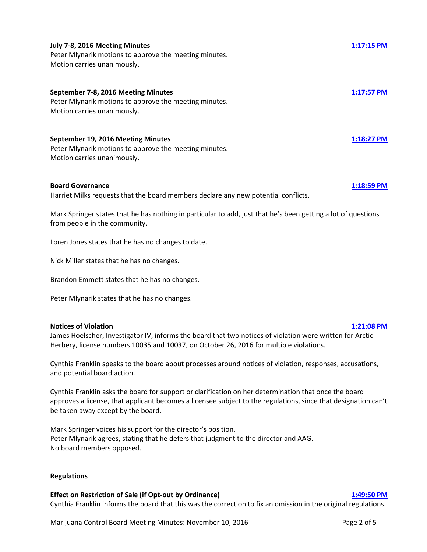Nick Miller seconds the motion. Motion fails, 2-3 (Brandon Emmett and Nick Miller vote Yes).

Brandon Emmett motions to approve Product 45. Nick Miller seconds the motion. Motion carries, 3-2 (Loren Jones and Peter Mlynarik vote No).

# **BREAK [11:06:22 AM](ftr://?location="ABC Board"?date="28-Oct-2016"?position="11:06:22"?Data="c3e567d7")**

# **10082 Einstein Labs [11:18:26 AM](ftr://?location="ABC Board"?date="28-Oct-2016"?position="11:18:26"?Data="c9eb8c5c")**

Brandon Emmett motions to approve products Capsule (RSO or THC/CBD), Tincture, Chocolate Chip Cookie Bites, Einstein Melts – Milk Chocolate, and Canna Rocks. Mark Springer seconds the motion.

Justin Roland, licensee, and Jana Weltzin, legal counsel, identify themselves for the record, clarify that the capsules are just for ingesting and not for inhaling, and answer board questions.

Motion to approve all products carries unanimously.

# **Operating Plan Changes**

### **10043 Alaskan Greenery [11:26:31 AM](ftr://?location="ABC Board"?date="28-Oct-2016"?position="11:26:31"?Data="f6378503")**

Cynthia Franklin brings up the option of the board being able to delegate temporary approval to the director of operating plan changes.

Michael Liljedahl identifies himself for the record and answers board questions.

Mark Springer motions to approve the operating plan changes for license 10043. Brandon Emmett seconds the motion. Motion carries unanimously.

Brandon Emmett motions to delegate to the director, as statutorily authorized, the ability to temporarily approve or deny MJ-15s until they are brought to a board meeting for the board to make a final decision. Mark Springer seconds the motion. Motion carries – none opposed.

### **New Marijuana Testing Facility Applications**

### **10512 Southeast Alaska Laboratories, LLC [11:35:03 AM](ftr://?location="ABC Board"?date="28-Oct-2016"?position="11:35:03"?Data="aa38c84a")** Mark Springer motions to approve license 10512 with delegation. Brandon Emmett seconds the motion.

Jessica Dreibelbis identifies herself for the record and answers board questions.

Motion to approve with delegation carries unanimously.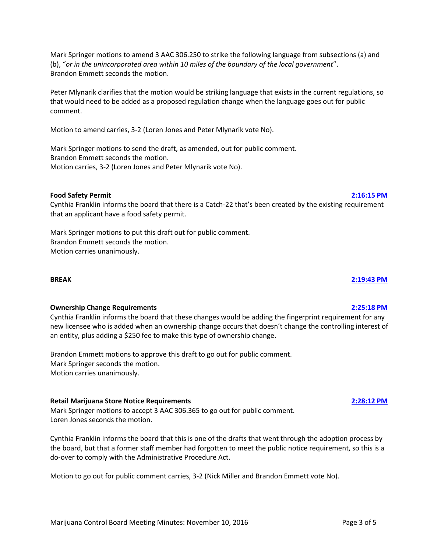# **New Standard Marijuana Cultivation Facility Applications**

#### **10605 Wild Flowers Holdings [11:40:00 AM](ftr://?location="ABC Board"?date="28-Oct-2016"?position="11:40:00"?Data="2a3c456f")**

Andrea Gribbin identifies herself for the record and answers board questions.

Loren Jones asks Ms. Gribbin about HappieDaze, LLC, the indicated consultant.

Cynthia Franklin informs the board that there has been a lot of struggle with this applicant and her lack of knowing anything about the rules or her application.

Sarah Oates points out that there's an objection to the application.

Harriet Milks informs the board that the Administrative Procedure Act does not require that an objection be signed.

Loren Jones motions to approve Wild Flowers Holdings, license 10605, with delegation, and would encourage the board to vote No.

Peter Mlynarik seconds the motion.

Mark Springer voices concern about the application for multiple reasons, including the business relationship with HappieDaze and the fact that HappieDaze, LLC is not an Alaska entity.

Brandon Emmett also voices concern about the applicant.

The board voices concerns about many pieces of the application, including the fact that there are places throughout the application that cite Arizona laws instead of Alaska, and the fact that part of the operating plan seems to have come from another licensee's application, specifically Dream Green Farms.

Andrea Gribbin states that she would rather copy ideas than reinvent the wheel.

Sarah Oates informs the board of staff struggles with trying to communicate with Ms. Gribbin and that all communication, with the exception of one confrontational meeting and one phone call, was with a person who is not an approved point of contact on the application.

Motion to approve the license with delegation fails unanimously.

### **10657 JWS Enterprises [12:02:10 PM](ftr://?location="ABC Board"?date="28-Oct-2016"?position="12:02:10"?Data="cf5bc97a")**

Jim Strassburg identifies himself for the record.

Mark Springer motions to approve license 10657 with delegation. Brandon Emmett seconds the motion.

Mr. Strassburg answers board questions.

Motion to approve with delegation carries unanimously.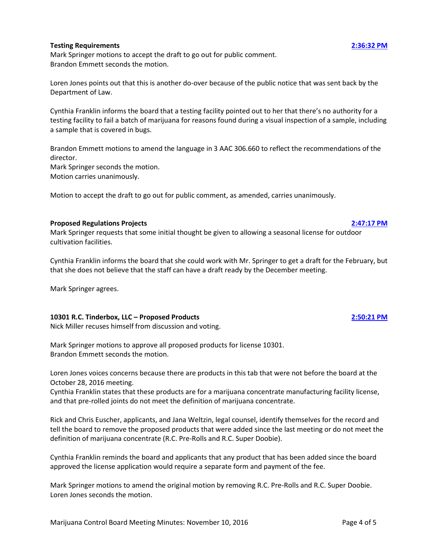### Marijuana Control Board Meeting Minutes: October 28, 2016 **Page 6 of 12** Page 6 of 12

#### **10671 Alaska Cannabis Exchange, LLC [12:09:39 PM](ftr://?location="ABC Board"?date="28-Oct-2016"?position="12:09:39"?Data="077bdc0c")**

Mark Springer motions to approve license 10671 with delegation. Brandon Emmett seconds the motion.

Aaron Ralph identifies himself for the record and answers board questions.

Motion to approve with delegation carries unanimously.

#### **10687 Dank Research [12:19:36 PM](ftr://?location="ABC Board"?date="28-Oct-2016"?position="12:19:36"?Data="c4bd8035")**

Mark Springer motions to approve license 10687 with delegation. Brandon Emmett seconds the motion.

Ronald Pickett identifies himself for the record and answers board questions.

Motion to approve with delegation carries unanimously.

# **10799 Calm N Collective [12:29:43 PM](ftr://?location="ABC Board"?date="28-Oct-2016"?position="12:29:43"?Data="99f8924f")**

Ron Bass, applicant, and Jana Weltzin, legal counsel, identify themselves for the record.

Mark Springer motions to approve license 10799 with delegation. Brandon Emmett seconds the motion.

Jana Weltzin informs the board that there's a discrepancy on the application – video surveillance records will be stored on-site, not off-site, as indicated on Page 7 of MJ-01.

Cynthia Franklin points out that the City has filed an approval with conditions. Ron Bass says that the two conditions are building a fence, which is already done, and then planting vegetation, which he will do in the spring.

Motion to approve with delegation carries unanimously.

Peter Mlynarik clarifies for the record that the delegation will include that the applicant meets the conditions from the City of Houston.

### **New Limited Marijuana Cultivation Facility Applications**

### **10040 Alaska Precision [12:35:37 PM](ftr://?location="ABC Board"?date="28-Oct-2016"?position="12:35:37"?Data="8a069941")**

David Straub identifies himself for the record.

Mark Springer motions to approve license 10040 with delegation. Brandon Emmett seconds the motion.

Loren Jones asks Mr. Straub about the staff's question regarding the signature on the original lease not matching the lease addendum, and whether or not anyone has a legal power of attorney.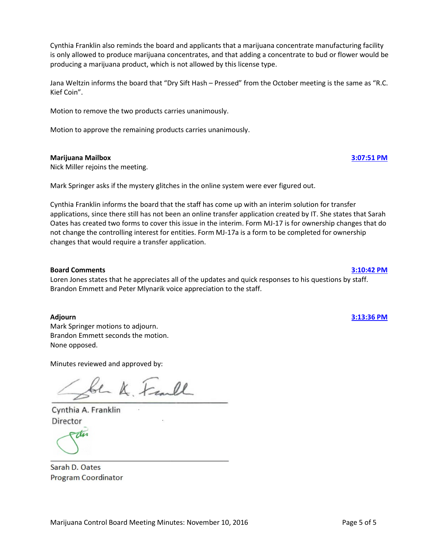David Straub says that he has a stack of medical records for his father and that he wasn't going to bourdon his father with a little bump in the road. He additionally states that when his father passes, that he will inherit the property.

Brandon Emmett asks if Mr. Straub would be able to get power of attorney for his father.

David Straub states that his brother might be listening from down south, and that his father is 87 with dementia.

David Straub states that his father did sign the addendum.

Mark Springer requests that Mr. Straub identify to the staff who the power of attorney is for his father.

David Straub states that the property is in the process of being transferred into his name.

Motion to approve with delegation carries, 3-2 (Loren Jones and Peter Mlynarik vote No).

#### **10086 Terra House, LLC [1:50:10 PM](ftr://?location="ABC Board"?date="28-Oct-2016"?position="13:50:10"?Data="fd65ffc6")**

Michael Lowry identifies himself for the record and answers board questions.

Mark Springer motions to approve license 10086 with delegation. Brandon Emmett seconds the motion.

Motion to approve with delegation carries, 4-1 (Peter Mlynarik votes No).

Peter Mlynarik clarifies that the delegation with approval includes the Kenai Peninsula Borough's conditions.

#### **10176 Alpha Kilo, LLC [2:01:30 PM](ftr://?location="ABC Board"?date="28-Oct-2016"?position="14:01:30"?Data="3a35ba96")**

Mark Springer motions to approve license 10176 with delegation. Brandon Emmett seconds the motion.

Andrew Schaffer identifies himself for the record and answers board questions.

Mark Springer requests that Mr. Schaffer amend his licensed premises so that the driveway is not included, as there is a child who lives in the home.

Motion to approve with delegation, including the conditions set forth by the Kenai Peninsula Borough, carries unanimously.

### **10489 Ester Horticulture and Research [2:11:08 PM](ftr://?location="ABC Board"?date="28-Oct-2016"?position="14:11:08"?Data="e2b0acb8")**

Mark Springer motions to approve license 10489 with delegation. Brandon Emmett seconds the motion.

John Collette, applicant, and Garrison Collette identify themselves for the record and answer board questions.

# **LUNCH [12:48:38 PM](ftr://?location="ABC Board"?date="28-Oct-2016"?position="12:48:38"?Data="5303eb28")**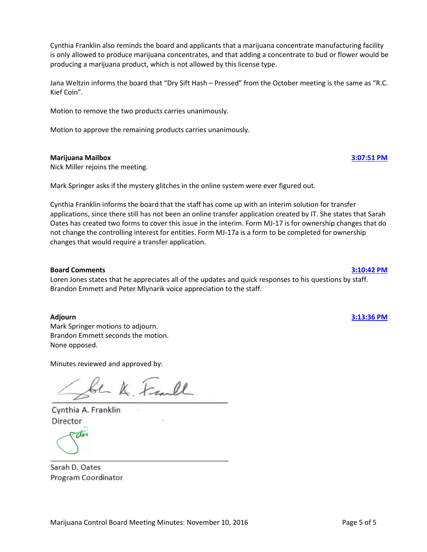The board discusses the fact that the applicant does not have internet at the premises. Garrison Collette informs the board that they have 4G data on their smart phones at the house, and the they have applied with ACS to get internet service at their location.

John Collette informs the board that there will be video surveillance inside the building, in addition to outside.

Loren Jones requests that the delegation include that the owner take some on-ground photographs and send them to staff rather than an aerial photograph that's out-of-date, so that it shows a little better picture of what's actually there.

Motion to approve with delegation carries unanimously.

# **10650 Alaska Bud Brothers Aerogardens, LLC [2:26:59 PM](ftr://?location="ABC Board"?date="28-Oct-2016"?position="14:26:59"?Data="9f8393e7")**

Mark Springer motions to approve license 10650 with delegation and the Kenai Peninsula Borough conditions. Brandon Emmett seconds the motion.

Jim Gossman identifies himself for the record.

Motion to approve with delegation and conditions carries unanimously.

# **New Marijuana Concentrate Manufacturing Facility Applications**

### **10301 R.C. Tinderbox, LLC [2:30:21 PM](ftr://?location="ABC Board"?date="28-Oct-2016"?position="14:30:21"?Data="d189b798")**

Nick Miller recuses himself from discussion and voting.

Mark Springer motions to approve license 10301 with delegation. Brandon Emmett seconds the motion. Mark Springer clarifies that the motion includes approval of the proposed products.

Christina Euscher and Rick Euscher, applicants, and Jana Weltzin, legal counsel, identify themselves for the record and answer board questions.

Loren Jones voices concerns about the labeling of the concentrates.

Peter Mlynarik motions to amend the original motion to be to approve the license and table the products until the next meeting. Brandon Emmett voices opposition to Mr. Mlynarik's request. Loren Jones supports the request.

Motion carries, 3-1 (Brandon Emmett votes No).

Motion to approve the license but table the products until the next meeting carries unanimously.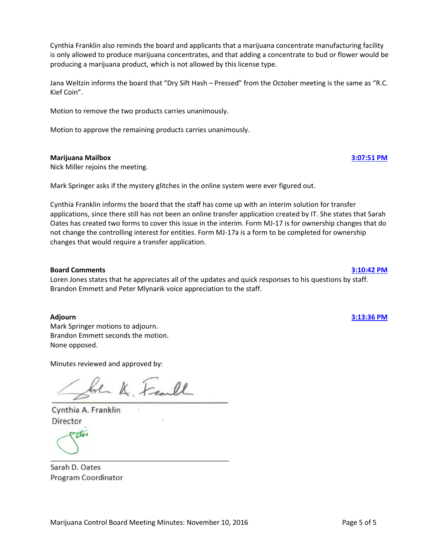# **New Retail Marijuana Store Applications**

### **10056 Red Run Cannabis Company, LLC [2:50:23 PM](ftr://?location="ABC Board"?date="28-Oct-2016"?position="14:50:23"?Data="94bddaf3")**

Nick Miller rejoins the meeting.

Eric Derleth and Marc Theiler identify themselves for the record and answer board questions.

Mark Springer motions to approve license 10056 with delegation. Brandon Emmett seconds the motion.

Loren Jones asks why their cultivation facility would be purchasing marijuana from other cultivation facilities, rather than the retail store.

Mr. Derleth and Mr. Theiler cite tax reasons and the fact that their cultivation facility is already licensed, but the retail store is not yet ready.

Peter Mlynarik pointed out that all three licensees initialed both certifications on Page 3 of MJ-00, and it needs to be fixed.

Peter Mlynarik commented that the licensees would have to mix waste material before adding the Bokashi, and that the retail store would have to have its own waste disposal rather than sending it back to the cultivation facility.

Motion to approve with delegation carries unanimously.

### **10245 AK Slow Burn Cannabis Outlet [3:08:50 PM](ftr://?location="ABC Board"?date="28-Oct-2016"?position="15:08:50"?Data="be11e3d0")**

Lou Weaver, applicant, Jana Weltzin, legal counsel, and Rob Burkes, general manager, identify themselves for the record and answer board questions.

Mark Springer motions to approve license 10245 with delegation. Brandon Emmett seconds the motion. Motion carries unanimously.

### **10278 GoodSinse, LLC [3:16:37 PM](ftr://?location="ABC Board"?date="28-Oct-2016"?position="15:16:37"?Data="70f344a8")**

Daniel Peters identifies himself for the record and answers board questions.

Mark Springer motions to approve license 10278 with delegation.

Brandon Emmett seconds the motion.

Peter Mlynarik states that the delegation includes that there is not a sign on the gate; only on the building. Motion to approve with delegation carries unanimously.

| <b>BREAK</b>                                                                                                                      | $3:26:47 \text{ PM}$ |
|-----------------------------------------------------------------------------------------------------------------------------------|----------------------|
| 10302 The House of Green<br>Mark Springer motions to approve license 10302 with delegation.<br>Brandon Emmett seconds the motion. | $3:42:23$ PM         |
| Marijuana Control Board Meeting Minutes: October 28, 2016                                                                         | Page 9 of 12         |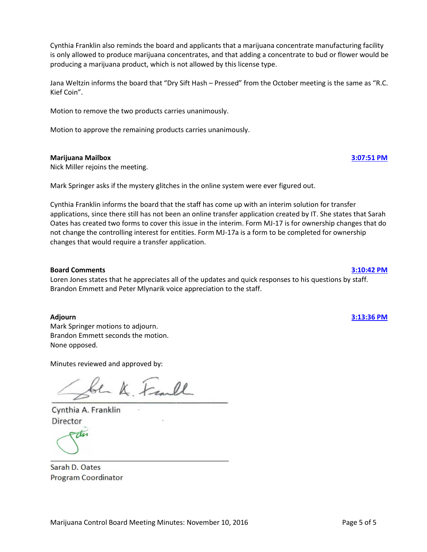Mike Dillard, applicant, and Jana Weltzin, legal counsel, identify themselves for the record and answer board questions.

Motion to approve with delegation carries unanimously.

# **10590 Cannabis Corner [3:47:04 PM](ftr://?location="ABC Board"?date="28-Oct-2016"?position="15:47:04"?Data="93b385c6")**

Mark Springer motions to approve license 10590 with delegation. Brandon Emmett seconds the motion.

Kanoe Zantua and Ayme Zantua identify themselves for the record and answer board questions.

Loren Jones states that the delegation should include an as-built drawing once the construction is complete. Motion to approve with delegation carries unanimously.

# **10648 Uncle Herb's [4:00:24 PM](ftr://?location="ABC Board"?date="28-Oct-2016"?position="16:00:24"?Data="1669b039")**

Mark Springer motions to approve license 10648 with delegation. Brandon Emmett seconds the motion.

Lloyd Stiassny, applicant, and Jana Weltin, legal counsel, identify themselves for the record.

Peter Mlynarik requests that the labels include the amount of THC.

Motion to approve with delegation carries unanimously.

### **10800 The Fireweed Factory, LLC [4:03:10 PM](ftr://?location="ABC Board"?date="28-Oct-2016"?position="16:03:10"?Data="f4a8eec3")**

Loren Jones recuses himself from discussion and voting.

Mark Springer motions to approve license 10800 with delegation. Brandon Emmett seconds the motion.

Paul Disdier identifies himself for the record and answers board questions.

Nick Miller comments that the applicant will have to destroy its own waste and cannot transfer it back to the cultivation facility.

Motion to approve with delegation carries unanimously.

Loren Jones rejoins the meeting.

### **Director's Report [4:10:57 PM](ftr://?location="ABC Board"?date="28-Oct-2016"?position="16:10:57"?Data="827c6300")**

Cynthia Franklin tells the board that they have a written copy of her report, so she doesn't need to read it for them.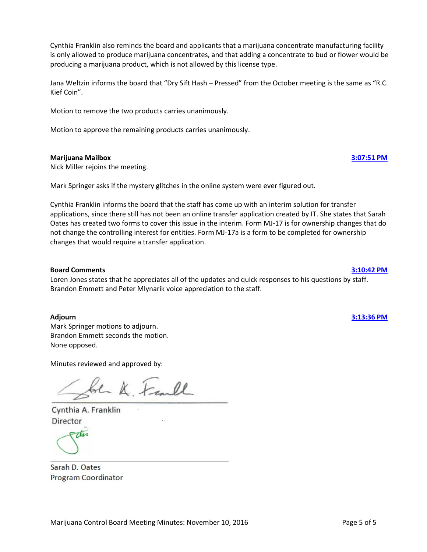# **Regulations Update [4:11:44 PM](ftr://?location="ABC Board"?date="28-Oct-2016"?position="16:11:44"?Data="b4577475")**

Cynthia Franklin informs the board that after the staff forwarded the complete regulations packets for the Testing Requirements project and the Retail Marijuana Store Notice Requirements to the Department of Law for adoption, they were informed that the public notice advertisements were never published. The board will have to go through the entire process again to meet the public notice requirements of the APA.

Peter Mlynarik asks if there's any opposition to putting those two projects back out for public comment. None opposed.

# **Enforcement Update [4:15:27 PM](ftr://?location="ABC Board"?date="28-Oct-2016"?position="16:15:27"?Data="795098fc")**

Cynthia Franklin informs the board that James Hoelscher gave a hard copy of the enforcement update to the Chair, and she'll make sure that the rest of the board members get a copy.

# **Regulations**

# **Marijuana Handler Permits [4:15:51 PM](ftr://?location="ABC Board"?date="28-Oct-2016"?position="16:15:51"?Data="413ef798")**

The board considers the public comments received.

Brandon Emmett motions to strike 3 AAC 306.700(f)-(g) through the language. Mark Springer seconds the motion. Motion carries, 3-2 (Loren Jones and Peter Mlynarik vote No).

Brandon Emmett motions to strike 3 AAC 306.381. Mark Springer seconds the motion. Motion carries, 3-2 (Loren Jones and Peter Mlynarik vote No).

# **On-site Consumption Endorsement [4:31:59 PM](ftr://?location="ABC Board"?date="28-Oct-2016"?position="16:31:59"?Data="615ae192")**

Cynthia Franklin informs the board that after the last meeting, some board members were inundated with letters and emails from the public about this draft, but that the draft was not back out for public comment at the time. Those comments cannot be considered.

The board reviews and considers public comments received.

Loren Jones motions to amend 3 AAC 306.365(b)(2)(2) to add, "*Ventilation plans for consumption that includes inhaling must be signed and approved by a licensed mechanical engineer*." Mark Springer seconds the motion. Motion carries, 3-2 (Nick Miller and Brandon Emmett vote No).

Loren Jones motions to amend 3 AAC 306.365(e)(2) to add at the end, "*the effects of and sufficient to protect employees from second-hand smoke*".

Mark Springer seconds the motion.

Harriett Milks states that she predicts that this will not be approved by the Department of Law. Motion fails, 2-3 (Loren Jones and Peter Mlynarik vote Yes).

Loren Jones motions to amend 3 AAC 306.365(b)(2) by adding a subsection (6) that reads, "*indicating that the building housing the retail marijuana store is a stand-alone building not sharing any walls or ventilation systems with any other building*".